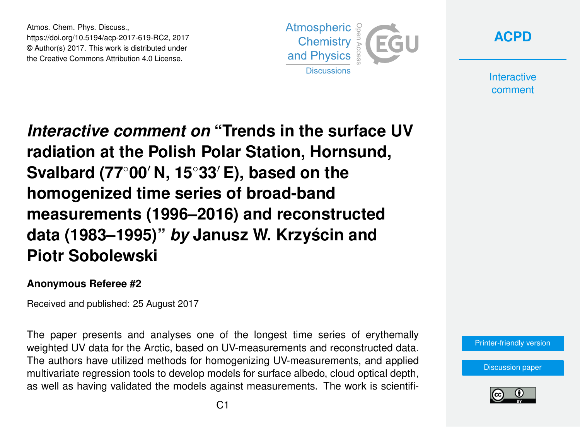Atmos. Chem. Phys. Discuss., https://doi.org/10.5194/acp-2017-619-RC2, 2017 © Author(s) 2017. This work is distributed under the Creative Commons Attribution 4.0 License.





**Interactive** comment

*Interactive comment on* **"Trends in the surface UV radiation at the Polish Polar Station, Hornsund, Svalbard (77<sup>◦</sup>00′ N, 15<sup>◦</sup>33′ E), based on the homogenized time series of broad-band measurements (1996–2016) and reconstructed data (1983–1995)"** *by* **Janusz W. Krzyscin and ´ Piotr Sobolewski**

## **Anonymous Referee #2**

Received and published: 25 August 2017

The paper presents and analyses one of the longest time series of erythemally weighted UV data for the Arctic, based on UV-measurements and reconstructed data. The authors have utilized methods for homogenizing UV-measurements, and applied multivariate regression tools to develop models for surface albedo, cloud optical depth, as well as having validated the models against measurements. The work is scientifi-



[Discussion paper](https://www.atmos-chem-phys-discuss.net/acp-2017-619)

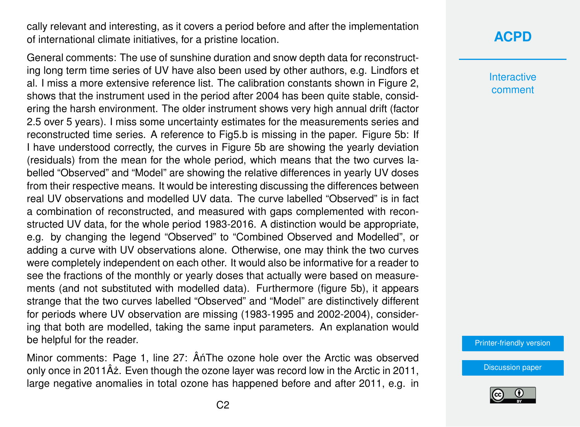cally relevant and interesting, as it covers a period before and after the implementation of international climate initiatives, for a pristine location.

General comments: The use of sunshine duration and snow depth data for reconstructing long term time series of UV have also been used by other authors, e.g. Lindfors et al. I miss a more extensive reference list. The calibration constants shown in Figure 2, shows that the instrument used in the period after 2004 has been quite stable, considering the harsh environment. The older instrument shows very high annual drift (factor 2.5 over 5 years). I miss some uncertainty estimates for the measurements series and reconstructed time series. A reference to Fig5.b is missing in the paper. Figure 5b: If I have understood correctly, the curves in Figure 5b are showing the yearly deviation (residuals) from the mean for the whole period, which means that the two curves labelled "Observed" and "Model" are showing the relative differences in yearly UV doses from their respective means. It would be interesting discussing the differences between real UV observations and modelled UV data. The curve labelled "Observed" is in fact a combination of reconstructed, and measured with gaps complemented with reconstructed UV data, for the whole period 1983-2016. A distinction would be appropriate, e.g. by changing the legend "Observed" to "Combined Observed and Modelled", or adding a curve with UV observations alone. Otherwise, one may think the two curves were completely independent on each other. It would also be informative for a reader to see the fractions of the monthly or yearly doses that actually were based on measurements (and not substituted with modelled data). Furthermore (figure 5b), it appears strange that the two curves labelled "Observed" and "Model" are distinctively different for periods where UV observation are missing (1983-1995 and 2002-2004), considering that both are modelled, taking the same input parameters. An explanation would be helpful for the reader.

Minor comments: Page 1, line 27: ÂnThe ozone hole over the Arctic was observed only once in 2011Âz. Even though the ozone layer was record low in the Arctic in 2011, large negative anomalies in total ozone has happened before and after 2011, e.g. in

## **[ACPD](https://www.atmos-chem-phys-discuss.net/)**

**Interactive** comment

[Printer-friendly version](https://www.atmos-chem-phys-discuss.net/acp-2017-619/acp-2017-619-RC2-print.pdf)

[Discussion paper](https://www.atmos-chem-phys-discuss.net/acp-2017-619)